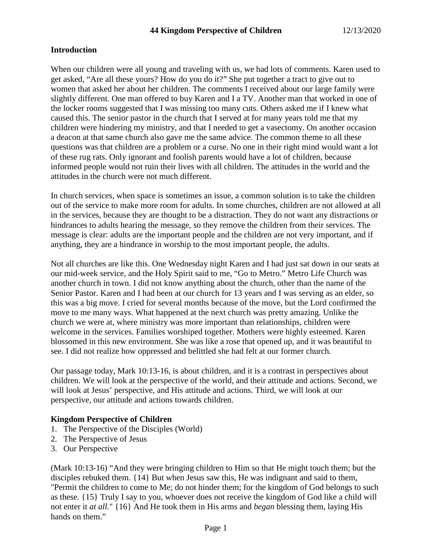#### **Introduction**

When our children were all young and traveling with us, we had lots of comments. Karen used to get asked, "Are all these yours? How do you do it?" She put together a tract to give out to women that asked her about her children. The comments I received about our large family were slightly different. One man offered to buy Karen and I a TV. Another man that worked in one of the locker rooms suggested that I was missing too many cuts. Others asked me if I knew what caused this. The senior pastor in the church that I served at for many years told me that my children were hindering my ministry, and that I needed to get a vasectomy. On another occasion a deacon at that same church also gave me the same advice. The common theme to all these questions was that children are a problem or a curse. No one in their right mind would want a lot of these rug rats. Only ignorant and foolish parents would have a lot of children, because informed people would not ruin their lives with all children. The attitudes in the world and the attitudes in the church were not much different.

In church services, when space is sometimes an issue, a common solution is to take the children out of the service to make more room for adults. In some churches, children are not allowed at all in the services, because they are thought to be a distraction. They do not want any distractions or hindrances to adults hearing the message, so they remove the children from their services. The message is clear: adults are the important people and the children are not very important, and if anything, they are a hindrance in worship to the most important people, the adults.

Not all churches are like this. One Wednesday night Karen and I had just sat down in our seats at our mid-week service, and the Holy Spirit said to me, "Go to Metro." Metro Life Church was another church in town. I did not know anything about the church, other than the name of the Senior Pastor. Karen and I had been at our church for 13 years and I was serving as an elder, so this was a big move. I cried for several months because of the move, but the Lord confirmed the move to me many ways. What happened at the next church was pretty amazing. Unlike the church we were at, where ministry was more important than relationships, children were welcome in the services. Families worshiped together. Mothers were highly esteemed. Karen blossomed in this new environment. She was like a rose that opened up, and it was beautiful to see. I did not realize how oppressed and belittled she had felt at our former church.

Our passage today, Mark 10:13-16, is about children, and it is a contrast in perspectives about children. We will look at the perspective of the world, and their attitude and actions. Second, we will look at Jesus' perspective, and His attitude and actions. Third, we will look at our perspective, our attitude and actions towards children.

#### **Kingdom Perspective of Children**

- 1. The Perspective of the Disciples (World)
- 2. The Perspective of Jesus
- 3. Our Perspective

(Mark 10:13-16) "And they were bringing children to Him so that He might touch them; but the disciples rebuked them. {14} But when Jesus saw this, He was indignant and said to them, "Permit the children to come to Me; do not hinder them; for the kingdom of God belongs to such as these. {15} Truly I say to you, whoever does not receive the kingdom of God like a child will not enter it *at all.*" {16} And He took them in His arms and *began* blessing them, laying His hands on them."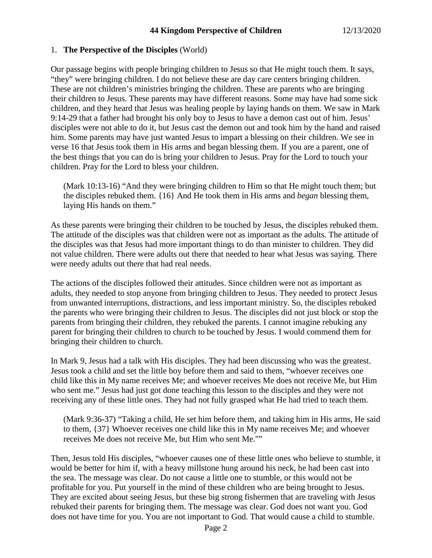#### 1. **The Perspective of the Disciples** (World)

Our passage begins with people bringing children to Jesus so that He might touch them. It says, "they" were bringing children. I do not believe these are day care centers bringing children. These are not children's ministries bringing the children. These are parents who are bringing their children to Jesus. These parents may have different reasons. Some may have had some sick children, and they heard that Jesus was healing people by laying hands on them. We saw in Mark 9:14-29 that a father had brought his only boy to Jesus to have a demon cast out of him. Jesus' disciples were not able to do it, but Jesus cast the demon out and took him by the hand and raised him. Some parents may have just wanted Jesus to impart a blessing on their children. We see in verse 16 that Jesus took them in His arms and began blessing them. If you are a parent, one of the best things that you can do is bring your children to Jesus. Pray for the Lord to touch your children. Pray for the Lord to bless your children.

(Mark 10:13-16) "And they were bringing children to Him so that He might touch them; but the disciples rebuked them. {16} And He took them in His arms and *began* blessing them, laying His hands on them."

As these parents were bringing their children to be touched by Jesus, the disciples rebuked them. The attitude of the disciples was that children were not as important as the adults. The attitude of the disciples was that Jesus had more important things to do than minister to children. They did not value children. There were adults out there that needed to hear what Jesus was saying. There were needy adults out there that had real needs.

The actions of the disciples followed their attitudes. Since children were not as important as adults, they needed to stop anyone from bringing children to Jesus. They needed to protect Jesus from unwanted interruptions, distractions, and less important ministry. So, the disciples rebuked the parents who were bringing their children to Jesus. The disciples did not just block or stop the parents from bringing their children, they rebuked the parents. I cannot imagine rebuking any parent for bringing their children to church to be touched by Jesus. I would commend them for bringing their children to church.

In Mark 9, Jesus had a talk with His disciples. They had been discussing who was the greatest. Jesus took a child and set the little boy before them and said to them, "whoever receives one child like this in My name receives Me; and whoever receives Me does not receive Me, but Him who sent me." Jesus had just got done teaching this lesson to the disciples and they were not receiving any of these little ones. They had not fully grasped what He had tried to teach them.

(Mark 9:36-37) "Taking a child, He set him before them, and taking him in His arms, He said to them, {37} Whoever receives one child like this in My name receives Me; and whoever receives Me does not receive Me, but Him who sent Me.""

Then, Jesus told His disciples, "whoever causes one of these little ones who believe to stumble, it would be better for him if, with a heavy millstone hung around his neck, he had been cast into the sea. The message was clear. Do not cause a little one to stumble, or this would not be profitable for you. Put yourself in the mind of these children who are being brought to Jesus. They are excited about seeing Jesus, but these big strong fishermen that are traveling with Jesus rebuked their parents for bringing them. The message was clear. God does not want you. God does not have time for you. You are not important to God. That would cause a child to stumble.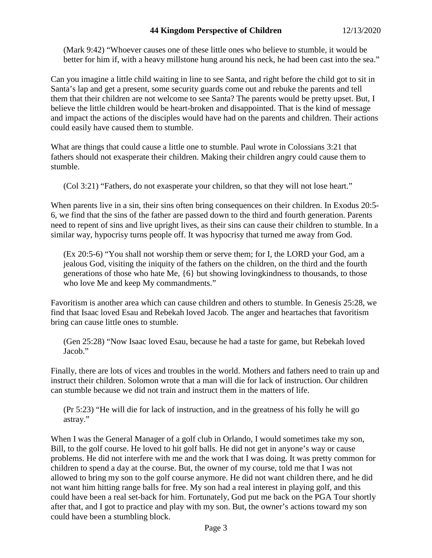## **44 Kingdom Perspective of Children** 12/13/2020

(Mark 9:42) "Whoever causes one of these little ones who believe to stumble, it would be better for him if, with a heavy millstone hung around his neck, he had been cast into the sea."

Can you imagine a little child waiting in line to see Santa, and right before the child got to sit in Santa's lap and get a present, some security guards come out and rebuke the parents and tell them that their children are not welcome to see Santa? The parents would be pretty upset. But, I believe the little children would be heart-broken and disappointed. That is the kind of message and impact the actions of the disciples would have had on the parents and children. Their actions could easily have caused them to stumble.

What are things that could cause a little one to stumble. Paul wrote in Colossians 3:21 that fathers should not exasperate their children. Making their children angry could cause them to stumble.

(Col 3:21) "Fathers, do not exasperate your children, so that they will not lose heart."

When parents live in a sin, their sins often bring consequences on their children. In Exodus 20:5- 6, we find that the sins of the father are passed down to the third and fourth generation. Parents need to repent of sins and live upright lives, as their sins can cause their children to stumble. In a similar way, hypocrisy turns people off. It was hypocrisy that turned me away from God.

(Ex 20:5-6) "You shall not worship them or serve them; for I, the LORD your God, am a jealous God, visiting the iniquity of the fathers on the children, on the third and the fourth generations of those who hate Me, {6} but showing lovingkindness to thousands, to those who love Me and keep My commandments."

Favoritism is another area which can cause children and others to stumble. In Genesis 25:28, we find that Isaac loved Esau and Rebekah loved Jacob. The anger and heartaches that favoritism bring can cause little ones to stumble.

(Gen 25:28) "Now Isaac loved Esau, because he had a taste for game, but Rebekah loved Jacob."

Finally, there are lots of vices and troubles in the world. Mothers and fathers need to train up and instruct their children. Solomon wrote that a man will die for lack of instruction. Our children can stumble because we did not train and instruct them in the matters of life.

(Pr 5:23) "He will die for lack of instruction, and in the greatness of his folly he will go astray."

When I was the General Manager of a golf club in Orlando, I would sometimes take my son, Bill, to the golf course. He loved to hit golf balls. He did not get in anyone's way or cause problems. He did not interfere with me and the work that I was doing. It was pretty common for children to spend a day at the course. But, the owner of my course, told me that I was not allowed to bring my son to the golf course anymore. He did not want children there, and he did not want him hitting range balls for free. My son had a real interest in playing golf, and this could have been a real set-back for him. Fortunately, God put me back on the PGA Tour shortly after that, and I got to practice and play with my son. But, the owner's actions toward my son could have been a stumbling block.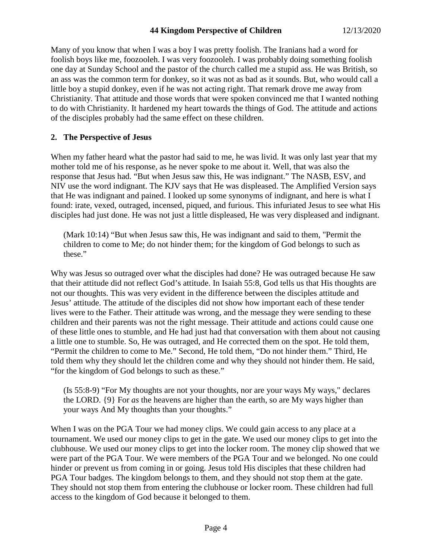Many of you know that when I was a boy I was pretty foolish. The Iranians had a word for foolish boys like me, foozooleh. I was very foozooleh. I was probably doing something foolish one day at Sunday School and the pastor of the church called me a stupid ass. He was British, so an ass was the common term for donkey, so it was not as bad as it sounds. But, who would call a little boy a stupid donkey, even if he was not acting right. That remark drove me away from Christianity. That attitude and those words that were spoken convinced me that I wanted nothing to do with Christianity. It hardened my heart towards the things of God. The attitude and actions of the disciples probably had the same effect on these children.

## **2. The Perspective of Jesus**

When my father heard what the pastor had said to me, he was livid. It was only last year that my mother told me of his response, as he never spoke to me about it. Well, that was also the response that Jesus had. "But when Jesus saw this, He was indignant." The NASB, ESV, and NIV use the word indignant. The KJV says that He was displeased. The Amplified Version says that He was indignant and pained. I looked up some synonyms of indignant, and here is what I found: irate, vexed, outraged, incensed, piqued, and furious. This infuriated Jesus to see what His disciples had just done. He was not just a little displeased, He was very displeased and indignant.

(Mark 10:14) "But when Jesus saw this, He was indignant and said to them, "Permit the children to come to Me; do not hinder them; for the kingdom of God belongs to such as these."

Why was Jesus so outraged over what the disciples had done? He was outraged because He saw that their attitude did not reflect God's attitude. In Isaiah 55:8, God tells us that His thoughts are not our thoughts. This was very evident in the difference between the disciples attitude and Jesus' attitude. The attitude of the disciples did not show how important each of these tender lives were to the Father. Their attitude was wrong, and the message they were sending to these children and their parents was not the right message. Their attitude and actions could cause one of these little ones to stumble, and He had just had that conversation with them about not causing a little one to stumble. So, He was outraged, and He corrected them on the spot. He told them, "Permit the children to come to Me." Second, He told them, "Do not hinder them." Third, He told them why they should let the children come and why they should not hinder them. He said, "for the kingdom of God belongs to such as these."

(Is 55:8-9) "For My thoughts are not your thoughts, nor are your ways My ways," declares the LORD. {9} For *as* the heavens are higher than the earth, so are My ways higher than your ways And My thoughts than your thoughts."

When I was on the PGA Tour we had money clips. We could gain access to any place at a tournament. We used our money clips to get in the gate. We used our money clips to get into the clubhouse. We used our money clips to get into the locker room. The money clip showed that we were part of the PGA Tour. We were members of the PGA Tour and we belonged. No one could hinder or prevent us from coming in or going. Jesus told His disciples that these children had PGA Tour badges. The kingdom belongs to them, and they should not stop them at the gate. They should not stop them from entering the clubhouse or locker room. These children had full access to the kingdom of God because it belonged to them.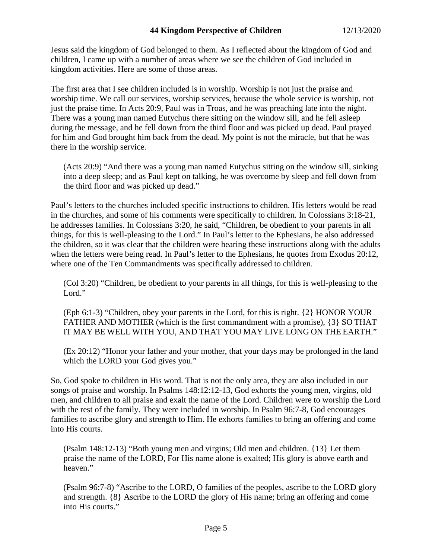Jesus said the kingdom of God belonged to them. As I reflected about the kingdom of God and children, I came up with a number of areas where we see the children of God included in kingdom activities. Here are some of those areas.

The first area that I see children included is in worship. Worship is not just the praise and worship time. We call our services, worship services, because the whole service is worship, not just the praise time. In Acts 20:9, Paul was in Troas, and he was preaching late into the night. There was a young man named Eutychus there sitting on the window sill, and he fell asleep during the message, and he fell down from the third floor and was picked up dead. Paul prayed for him and God brought him back from the dead. My point is not the miracle, but that he was there in the worship service.

(Acts 20:9) "And there was a young man named Eutychus sitting on the window sill, sinking into a deep sleep; and as Paul kept on talking, he was overcome by sleep and fell down from the third floor and was picked up dead."

Paul's letters to the churches included specific instructions to children. His letters would be read in the churches, and some of his comments were specifically to children. In Colossians 3:18-21, he addresses families. In Colossians 3:20, he said, "Children, be obedient to your parents in all things, for this is well-pleasing to the Lord." In Paul's letter to the Ephesians, he also addressed the children, so it was clear that the children were hearing these instructions along with the adults when the letters were being read. In Paul's letter to the Ephesians, he quotes from Exodus 20:12, where one of the Ten Commandments was specifically addressed to children.

(Col 3:20) "Children, be obedient to your parents in all things, for this is well-pleasing to the Lord."

(Eph 6:1-3) "Children, obey your parents in the Lord, for this is right. {2} HONOR YOUR FATHER AND MOTHER (which is the first commandment with a promise), {3} SO THAT IT MAY BE WELL WITH YOU, AND THAT YOU MAY LIVE LONG ON THE EARTH."

(Ex 20:12) "Honor your father and your mother, that your days may be prolonged in the land which the LORD your God gives you."

So, God spoke to children in His word. That is not the only area, they are also included in our songs of praise and worship. In Psalms 148:12:12-13, God exhorts the young men, virgins, old men, and children to all praise and exalt the name of the Lord. Children were to worship the Lord with the rest of the family. They were included in worship. In Psalm 96:7-8, God encourages families to ascribe glory and strength to Him. He exhorts families to bring an offering and come into His courts.

(Psalm 148:12-13) "Both young men and virgins; Old men and children. {13} Let them praise the name of the LORD, For His name alone is exalted; His glory is above earth and heaven."

(Psalm 96:7-8) "Ascribe to the LORD, O families of the peoples, ascribe to the LORD glory and strength. {8} Ascribe to the LORD the glory of His name; bring an offering and come into His courts."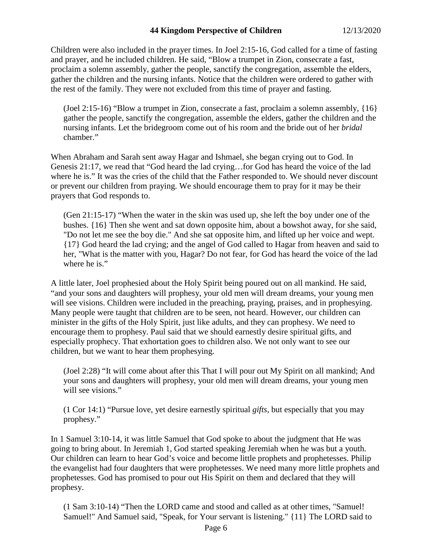### **44 Kingdom Perspective of Children** 12/13/2020

Children were also included in the prayer times. In Joel 2:15-16, God called for a time of fasting and prayer, and he included children. He said, "Blow a trumpet in Zion, consecrate a fast, proclaim a solemn assembly, gather the people, sanctify the congregation, assemble the elders, gather the children and the nursing infants. Notice that the children were ordered to gather with the rest of the family. They were not excluded from this time of prayer and fasting.

(Joel 2:15-16) "Blow a trumpet in Zion, consecrate a fast, proclaim a solemn assembly, {16} gather the people, sanctify the congregation, assemble the elders, gather the children and the nursing infants. Let the bridegroom come out of his room and the bride out of her *bridal* chamber."

When Abraham and Sarah sent away Hagar and Ishmael, she began crying out to God. In Genesis 21:17, we read that "God heard the lad crying…for God has heard the voice of the lad where he is." It was the cries of the child that the Father responded to. We should never discount or prevent our children from praying. We should encourage them to pray for it may be their prayers that God responds to.

(Gen 21:15-17) "When the water in the skin was used up, she left the boy under one of the bushes. {16} Then she went and sat down opposite him, about a bowshot away, for she said, "Do not let me see the boy die." And she sat opposite him, and lifted up her voice and wept. {17} God heard the lad crying; and the angel of God called to Hagar from heaven and said to her, "What is the matter with you, Hagar? Do not fear, for God has heard the voice of the lad where he is."

A little later, Joel prophesied about the Holy Spirit being poured out on all mankind. He said, "and your sons and daughters will prophesy, your old men will dream dreams, your young men will see visions. Children were included in the preaching, praying, praises, and in prophesying. Many people were taught that children are to be seen, not heard. However, our children can minister in the gifts of the Holy Spirit, just like adults, and they can prophesy. We need to encourage them to prophesy. Paul said that we should earnestly desire spiritual gifts, and especially prophecy. That exhortation goes to children also. We not only want to see our children, but we want to hear them prophesying.

(Joel 2:28) "It will come about after this That I will pour out My Spirit on all mankind; And your sons and daughters will prophesy, your old men will dream dreams, your young men will see visions."

(1 Cor 14:1) "Pursue love, yet desire earnestly spiritual *gifts,* but especially that you may prophesy."

In 1 Samuel 3:10-14, it was little Samuel that God spoke to about the judgment that He was going to bring about. In Jeremiah 1, God started speaking Jeremiah when he was but a youth. Our children can learn to hear God's voice and become little prophets and prophetesses. Philip the evangelist had four daughters that were prophetesses. We need many more little prophets and prophetesses. God has promised to pour out His Spirit on them and declared that they will prophesy.

(1 Sam 3:10-14) "Then the LORD came and stood and called as at other times, "Samuel! Samuel!" And Samuel said, "Speak, for Your servant is listening." {11} The LORD said to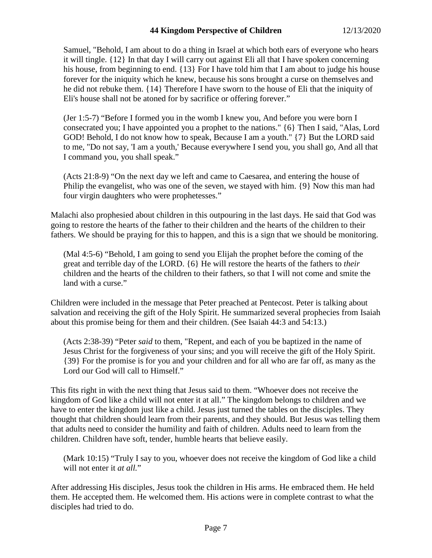Samuel, "Behold, I am about to do a thing in Israel at which both ears of everyone who hears it will tingle. {12} In that day I will carry out against Eli all that I have spoken concerning his house, from beginning to end. {13} For I have told him that I am about to judge his house forever for the iniquity which he knew, because his sons brought a curse on themselves and he did not rebuke them. {14} Therefore I have sworn to the house of Eli that the iniquity of Eli's house shall not be atoned for by sacrifice or offering forever."

(Jer 1:5-7) "Before I formed you in the womb I knew you, And before you were born I consecrated you; I have appointed you a prophet to the nations." {6} Then I said, "Alas, Lord GOD! Behold, I do not know how to speak, Because I am a youth." {7} But the LORD said to me, "Do not say, 'I am a youth,' Because everywhere I send you, you shall go, And all that I command you, you shall speak."

(Acts 21:8-9) "On the next day we left and came to Caesarea, and entering the house of Philip the evangelist, who was one of the seven, we stayed with him. {9} Now this man had four virgin daughters who were prophetesses."

Malachi also prophesied about children in this outpouring in the last days. He said that God was going to restore the hearts of the father to their children and the hearts of the children to their fathers. We should be praying for this to happen, and this is a sign that we should be monitoring.

(Mal 4:5-6) "Behold, I am going to send you Elijah the prophet before the coming of the great and terrible day of the LORD. {6} He will restore the hearts of the fathers to *their* children and the hearts of the children to their fathers, so that I will not come and smite the land with a curse."

Children were included in the message that Peter preached at Pentecost. Peter is talking about salvation and receiving the gift of the Holy Spirit. He summarized several prophecies from Isaiah about this promise being for them and their children. (See Isaiah 44:3 and 54:13.)

(Acts 2:38-39) "Peter *said* to them, "Repent, and each of you be baptized in the name of Jesus Christ for the forgiveness of your sins; and you will receive the gift of the Holy Spirit. {39} For the promise is for you and your children and for all who are far off, as many as the Lord our God will call to Himself."

This fits right in with the next thing that Jesus said to them. "Whoever does not receive the kingdom of God like a child will not enter it at all." The kingdom belongs to children and we have to enter the kingdom just like a child. Jesus just turned the tables on the disciples. They thought that children should learn from their parents, and they should. But Jesus was telling them that adults need to consider the humility and faith of children. Adults need to learn from the children. Children have soft, tender, humble hearts that believe easily.

(Mark 10:15) "Truly I say to you, whoever does not receive the kingdom of God like a child will not enter it *at all.*"

After addressing His disciples, Jesus took the children in His arms. He embraced them. He held them. He accepted them. He welcomed them. His actions were in complete contrast to what the disciples had tried to do.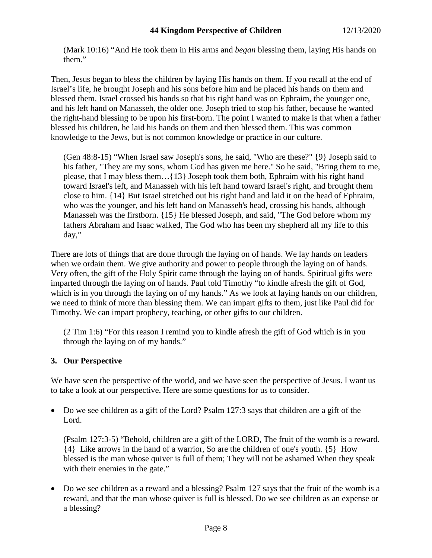(Mark 10:16) "And He took them in His arms and *began* blessing them, laying His hands on them."

Then, Jesus began to bless the children by laying His hands on them. If you recall at the end of Israel's life, he brought Joseph and his sons before him and he placed his hands on them and blessed them. Israel crossed his hands so that his right hand was on Ephraim, the younger one, and his left hand on Manasseh, the older one. Joseph tried to stop his father, because he wanted the right-hand blessing to be upon his first-born. The point I wanted to make is that when a father blessed his children, he laid his hands on them and then blessed them. This was common knowledge to the Jews, but is not common knowledge or practice in our culture.

(Gen 48:8-15) "When Israel saw Joseph's sons, he said, "Who are these?" {9} Joseph said to his father, "They are my sons, whom God has given me here." So he said, "Bring them to me, please, that I may bless them…{13} Joseph took them both, Ephraim with his right hand toward Israel's left, and Manasseh with his left hand toward Israel's right, and brought them close to him. {14} But Israel stretched out his right hand and laid it on the head of Ephraim, who was the younger, and his left hand on Manasseh's head, crossing his hands, although Manasseh was the firstborn. {15} He blessed Joseph, and said, "The God before whom my fathers Abraham and Isaac walked, The God who has been my shepherd all my life to this day,"

There are lots of things that are done through the laying on of hands. We lay hands on leaders when we ordain them. We give authority and power to people through the laying on of hands. Very often, the gift of the Holy Spirit came through the laying on of hands. Spiritual gifts were imparted through the laying on of hands. Paul told Timothy "to kindle afresh the gift of God, which is in you through the laying on of my hands." As we look at laying hands on our children, we need to think of more than blessing them. We can impart gifts to them, just like Paul did for Timothy. We can impart prophecy, teaching, or other gifts to our children.

(2 Tim 1:6) "For this reason I remind you to kindle afresh the gift of God which is in you through the laying on of my hands."

## **3. Our Perspective**

We have seen the perspective of the world, and we have seen the perspective of Jesus. I want us to take a look at our perspective. Here are some questions for us to consider.

• Do we see children as a gift of the Lord? Psalm 127:3 says that children are a gift of the Lord.

(Psalm 127:3-5) "Behold, children are a gift of the LORD, The fruit of the womb is a reward. {4} Like arrows in the hand of a warrior, So are the children of one's youth. {5} How blessed is the man whose quiver is full of them; They will not be ashamed When they speak with their enemies in the gate."

• Do we see children as a reward and a blessing? Psalm 127 says that the fruit of the womb is a reward, and that the man whose quiver is full is blessed. Do we see children as an expense or a blessing?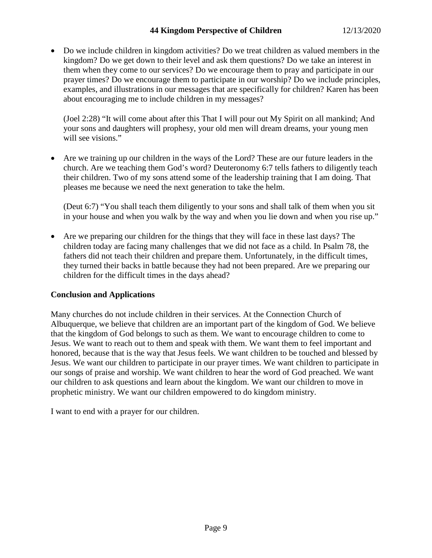# **44 Kingdom Perspective of Children** 12/13/2020

• Do we include children in kingdom activities? Do we treat children as valued members in the kingdom? Do we get down to their level and ask them questions? Do we take an interest in them when they come to our services? Do we encourage them to pray and participate in our prayer times? Do we encourage them to participate in our worship? Do we include principles, examples, and illustrations in our messages that are specifically for children? Karen has been about encouraging me to include children in my messages?

(Joel 2:28) "It will come about after this That I will pour out My Spirit on all mankind; And your sons and daughters will prophesy, your old men will dream dreams, your young men will see visions."

• Are we training up our children in the ways of the Lord? These are our future leaders in the church. Are we teaching them God's word? Deuteronomy 6:7 tells fathers to diligently teach their children. Two of my sons attend some of the leadership training that I am doing. That pleases me because we need the next generation to take the helm.

(Deut 6:7) "You shall teach them diligently to your sons and shall talk of them when you sit in your house and when you walk by the way and when you lie down and when you rise up."

• Are we preparing our children for the things that they will face in these last days? The children today are facing many challenges that we did not face as a child. In Psalm 78, the fathers did not teach their children and prepare them. Unfortunately, in the difficult times, they turned their backs in battle because they had not been prepared. Are we preparing our children for the difficult times in the days ahead?

## **Conclusion and Applications**

Many churches do not include children in their services. At the Connection Church of Albuquerque, we believe that children are an important part of the kingdom of God. We believe that the kingdom of God belongs to such as them. We want to encourage children to come to Jesus. We want to reach out to them and speak with them. We want them to feel important and honored, because that is the way that Jesus feels. We want children to be touched and blessed by Jesus. We want our children to participate in our prayer times. We want children to participate in our songs of praise and worship. We want children to hear the word of God preached. We want our children to ask questions and learn about the kingdom. We want our children to move in prophetic ministry. We want our children empowered to do kingdom ministry.

I want to end with a prayer for our children.